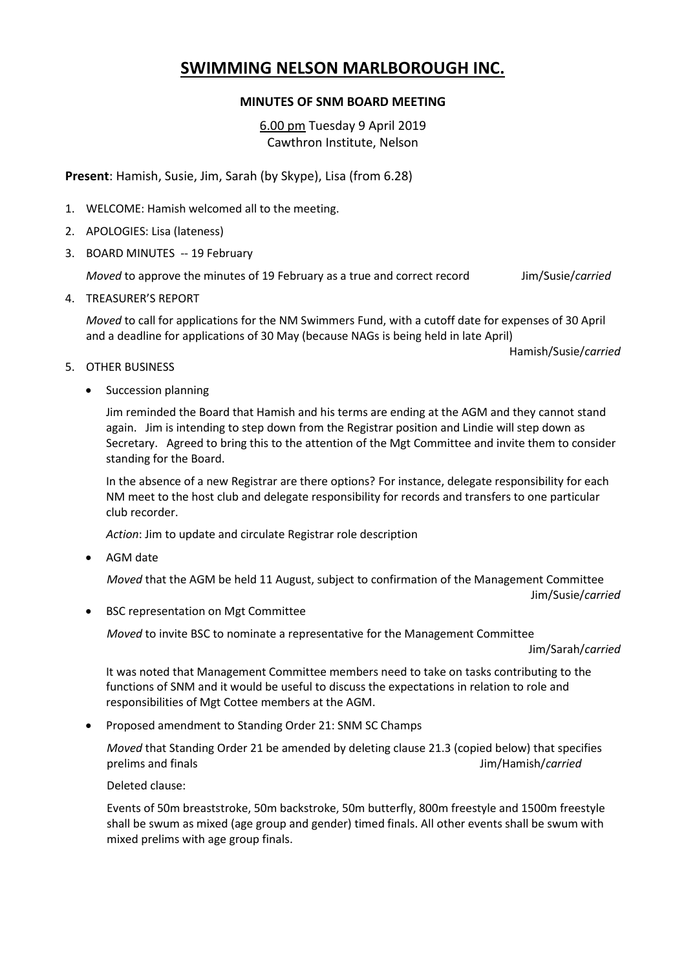## **SWIMMING NELSON MARLBOROUGH INC.**

## **MINUTES OF SNM BOARD MEETING**

6.00 pm Tuesday 9 April 2019 Cawthron Institute, Nelson

**Present**: Hamish, Susie, Jim, Sarah (by Skype), Lisa (from 6.28)

- 1. WELCOME: Hamish welcomed all to the meeting.
- 2. APOLOGIES: Lisa (lateness)
- 3. BOARD MINUTES -- 19 February

*Moved* to approve the minutes of 19 February as a true and correct record Jim/Susie/*carried*

4. TREASURER'S REPORT

*Moved* to call for applications for the NM Swimmers Fund, with a cutoff date for expenses of 30 April and a deadline for applications of 30 May (because NAGs is being held in late April)

Hamish/Susie/*carried*

## 5. OTHER BUSINESS

• Succession planning

Jim reminded the Board that Hamish and his terms are ending at the AGM and they cannot stand again. Jim is intending to step down from the Registrar position and Lindie will step down as Secretary. Agreed to bring this to the attention of the Mgt Committee and invite them to consider standing for the Board.

In the absence of a new Registrar are there options? For instance, delegate responsibility for each NM meet to the host club and delegate responsibility for records and transfers to one particular club recorder.

*Action*: Jim to update and circulate Registrar role description

• AGM date

*Moved* that the AGM be held 11 August, subject to confirmation of the Management Committee

Jim/Susie/*carried*

• BSC representation on Mgt Committee

*Moved* to invite BSC to nominate a representative for the Management Committee

Jim/Sarah/*carried*

It was noted that Management Committee members need to take on tasks contributing to the functions of SNM and it would be useful to discuss the expectations in relation to role and responsibilities of Mgt Cottee members at the AGM.

• Proposed amendment to Standing Order 21: SNM SC Champs

*Moved* that Standing Order 21 be amended by deleting clause 21.3 (copied below) that specifies prelims and finals Jim/Hamish/*carried*

Deleted clause:

Events of 50m breaststroke, 50m backstroke, 50m butterfly, 800m freestyle and 1500m freestyle shall be swum as mixed (age group and gender) timed finals. All other events shall be swum with mixed prelims with age group finals.